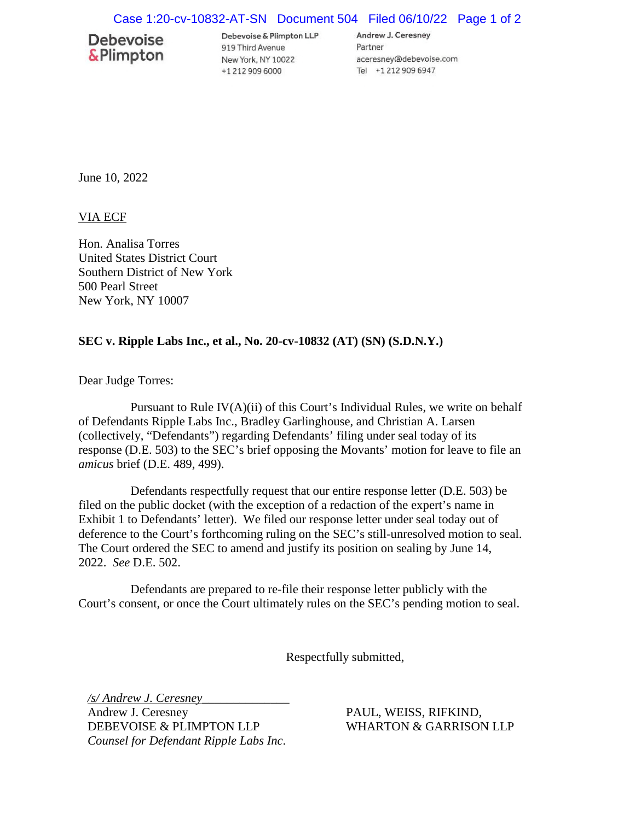## Case 1:20-cv-10832-AT-SN Document 504 Filed 06/10/22 Page 1 of 2

## **Debevoise &Plimpton**

Debevoise & Plimpton LLP 919 Third Avenue New York, NY 10022 +1 212 909 6000

Andrew J. Ceresney Partner aceresney@debevoise.com Tel +1 212 909 6947

June 10, 2022

VIA ECF

Hon. Analisa Torres United States District Court Southern District of New York 500 Pearl Street New York, NY 10007

## **SEC v. Ripple Labs Inc., et al., No. 20-cv-10832 (AT) (SN) (S.D.N.Y.)**

Dear Judge Torres:

Pursuant to Rule  $IV(A)(ii)$  of this Court's Individual Rules, we write on behalf of Defendants Ripple Labs Inc., Bradley Garlinghouse, and Christian A. Larsen (collectively, "Defendants") regarding Defendants' filing under seal today of its response (D.E. 503) to the SEC's brief opposing the Movants' motion for leave to file an *amicus* brief (D.E. 489, 499).

Defendants respectfully request that our entire response letter (D.E. 503) be filed on the public docket (with the exception of a redaction of the expert's name in Exhibit 1 to Defendants' letter). We filed our response letter under seal today out of deference to the Court's forthcoming ruling on the SEC's still-unresolved motion to seal. The Court ordered the SEC to amend and justify its position on sealing by June 14, 2022. *See* D.E. 502.

Defendants are prepared to re-file their response letter publicly with the Court's consent, or once the Court ultimately rules on the SEC's pending motion to seal.

Respectfully submitted,

*/s/ Andrew J. Ceresney*\_\_\_\_\_\_\_\_\_\_\_\_\_\_ Andrew J. Ceresney DEBEVOISE & PLIMPTON LLP *Counsel for Defendant Ripple Labs Inc*.

PAUL, WEISS, RIFKIND, WHARTON & GARRISON LLP